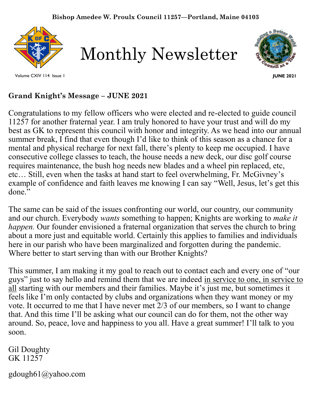

Monthly Newsletter



**JUNE 2021**

# **Grand Knight's Message – JUNE 2021**

Congratulations to my fellow officers who were elected and re-elected to guide council 11257 for another fraternal year. I am truly honored to have your trust and will do my best as GK to represent this council with honor and integrity. As we head into our annual summer break, I find that even though I'd like to think of this season as a chance for a mental and physical recharge for next fall, there's plenty to keep me occupied. I have consecutive college classes to teach, the house needs a new deck, our disc golf course requires maintenance, the bush hog needs new blades and a wheel pin replaced, etc, etc… Still, even when the tasks at hand start to feel overwhelming, Fr. McGivney's example of confidence and faith leaves me knowing I can say "Well, Jesus, let's get this done."

The same can be said of the issues confronting our world, our country, our community and our church. Everybody *wants* something to happen; Knights are working to *make it happen*. Our founder envisioned a fraternal organization that serves the church to bring about a more just and equitable world. Certainly this applies to families and individuals here in our parish who have been marginalized and forgotten during the pandemic. Where better to start serving than with our Brother Knights?

 feels like I'm only contacted by clubs and organizations when they want money or my This summer, I am making it my goal to reach out to contact each and every one of "our guys" just to say hello and remind them that we are indeed in service to one, in service to all starting with our members and their families. Maybe it's just me, but sometimes it vote. It occurred to me that I have never met 2/3 of our members, so I want to change that. And this time I'll be asking what our council can do for them, not the other way around. So, peace, love and happiness to you all. Have a great summer! I'll talk to you soon.

Gil Doughty GK 11257

gdough61@yahoo.com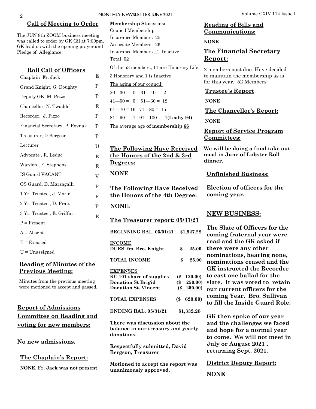#### **Call of Meeting to Order**

The JUN 8th ZOOM business meeting was called to order by GK Gil at 7:00pm. GK lead us with the opening prayer and Pledge of Allegiance.

> E P P

> E P P P  $U$ E E V

> P P P

> > E

**INCOME**

**NONE**.

**Degrees:**

**NONE** 

**EXPENSES**

**donations.** 

**DUES** fm. Bro. Knight

**The Treasurer report: 05/31/21**

**The Following Have Received the Honors of the 4th Degree:** 

**The Following Have Received the Honors of the 2nd & 3rd** 

81—90 = 1 91—100 = 1(**Leahy 94)** The average age **of membership 66**

Of the 53 members, 11 are Honorary Life,

**BEGINNING BAL. 05/01/21** \$**1,927.28**

**TOTAL INCOME \$ 25.00** 

**KC 101 share of supplies (\$ 120.00) Donation St Brigid (\$ 250.00) Donation St. Vincent (\$ 250.00)**

**TOTAL EXPENSES (\$ 620.00)** 

**ENDING BAL. 05/31/21 \$1,332.28**

**There was discussion about the balance in our treasury and yearly** 

**Respectfully submitted, David** 

**Motioned to accept the report was** 

**Bergson, Treasurer**

**unanimously approved.**

# **Roll Call of Officers** Chaplain Fr. Jack Grand Knight, G. Doughty Deputy GK, M. Pizzo Chancellor, N. Twaddel Recorder, J. Pizzo Financial Secretary, P. Rovnak Treasurer, D Bergson Lecturer Advocate , R. Leduc Warden , F. Stephens IS Guard VACANT OS Guard, D. Marzagalli 1 Yr. Trustee , J. Morin 2 Yr. Trustee , D. Pratt 3 Yr. Trustee , E. Griffin  $P =$ Present  $A =$ Absent  $E = Excused$ U = Unassigned

### **Reading of Minutes of the Previous Meeting:**

Minutes from the previous meeting were motioned to accept and passed..

## **Report of Admissions Committee on Reading and voting for new members:**

**No new admissions.** 

#### **The Chaplain's Report:**

**NONE, Fr. Jack was not present**

3 Honorary and 1 is Inactive The aging of our council:  $20 - 30 = 0$   $31 - 40 = 2$  $41 - 50 = 5$   $51 - 60 = 12$  $61 - 70 = 16$   $71 - 80 = 15$ 

Council Membership: Insurance Members 25 Associate Members 26

Total 52

## **Reading of Bills and Communications: NONE The Financial Secretary Report:** Insurance Members 1 Inactive

2 members past due. Have decided to maintain the membership as is for this year. 52 Members

#### **Trustee's Report**

**NONE**

**The Chancellor's Report:** 

**NONE**

**Report of Service Program Committees:**

**We will be doing a final take out meal in June of Lobster Roll dinner.** 

**Unfinished Business:** 

**Election of officers for the coming year.**

#### **NEW BUSINESS:**

**The Slate of Officers for the coming fraternal year were read and the GK asked if**  \$ 25.00 there were any other **nominations, hearing none, nominations ceased and the GK instructed the Recorder to cast one ballad for the slate. It was voted to retain our current officers for the coming Year. Bro. Sullivan to fill the Inside Guard Role.**

> **GK then spoke of our year and the challenges we faced and hope for a normal year to come. We will not meet in July or August 2021 , returning Sept. 2021.**

**District Deputy Report: NONE**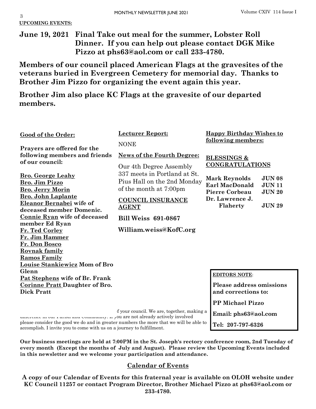3 **UPCOMING EVENTS:**

**June 19, 2021 Final Take out meal for the summer, Lobster Roll Dinner. If you can help out please contact DGK Mike Pizzo at phs63@aol.com or call 233-4780.** 

**Members of our council placed American Flags at the gravesites of the veterans buried in Evergreen Cemetery for memorial day. Thanks to Brother Jim Pizzo for organizing the event again this year.** 

**Brother Jim also place KC Flags at the gravesite of our departed members.**

| Good of the Order:<br>Prayers are offered for the                                                                                                                                                                                                                                                       | <b>Lecturer Report:</b><br><b>NONE</b>                                                                                                                                                    | <b>Happy Birthday Wishes to</b><br><u>following members:</u>                                                                                                             |
|---------------------------------------------------------------------------------------------------------------------------------------------------------------------------------------------------------------------------------------------------------------------------------------------------------|-------------------------------------------------------------------------------------------------------------------------------------------------------------------------------------------|--------------------------------------------------------------------------------------------------------------------------------------------------------------------------|
| following members and friends<br>of our council:                                                                                                                                                                                                                                                        | <b>News of the Fourth Degree:</b><br>Our 4th Degree Assembly                                                                                                                              | <b>BLESSINGS &amp;</b><br><b>CONGRATULATIONS</b>                                                                                                                         |
| <b>Bro. George Leahy</b><br><b>Bro. Jim Pizzo</b><br><b>Bro. Jerry Morin</b><br><b>Bro. John Laplante</b><br>Eleanor Bernabei wife of<br>deceased member Domenic.<br><b>Connie Ryan wife of deceased</b><br>member Ed Ryan<br>Fr. Ted Corley<br>Fr. Jim Hammer<br>Fr. Don Bosco<br><b>Rovnak family</b> | 337 meets in Portland at St.<br>Pius Hall on the 2nd Monday<br>of the month at 7:00pm<br><b>COUNCIL INSURANCE</b><br><b>AGENT</b><br><b>Bill Weiss 691-0867</b><br>William.weiss@KofC.org | <b>JUN 08</b><br><b>Mark Reynolds</b><br><b>Earl MacDonald</b><br><b>JUN11</b><br><b>Pierre Corbeau</b><br><b>JUN 20</b><br>Dr. Lawrence J.<br>Flaherty<br><b>JUN 29</b> |
| <b>Ramos Family</b><br>Louise Stankiewicz Mom of Bro<br>Glenn<br>Pat Stephens wife of Br. Frank                                                                                                                                                                                                         |                                                                                                                                                                                           | <b>EDITORS NOTE:</b>                                                                                                                                                     |
| <b>Corinne Pratt Daughter of Bro.</b><br><b>Dick Pratt</b>                                                                                                                                                                                                                                              |                                                                                                                                                                                           | <b>Please address omissions</b><br>and corrections to:                                                                                                                   |
|                                                                                                                                                                                                                                                                                                         | f your council. We are, together, making a<br>ou ano not almoady activaly invalved                                                                                                        | <b>PP Michael Pizzo</b><br>Email: phs63@aol.com                                                                                                                          |

**Tel: 207-797-6326**

unterence in our rarish and Community. If you are not already actively involved please consider the good we do and in greater numbers the more that we will be able to accomplish. I invite you to come with us on a journey to fulfillment.

**Our business meetings are held at 7:00PM in the St. Joseph's rectory conference room, 2nd Tuesday of every month (Except the months of July and August). Please review the Upcoming Events included in this newsletter and we welcome your participation and attendance.** 

## **Calendar of Events**

**A copy of our Calendar of Events for this fraternal year is available on OLOH website under KC Council 11257 or contact Program Director, Brother Michael Pizzo at phs63@aol.com or 233-4780.**